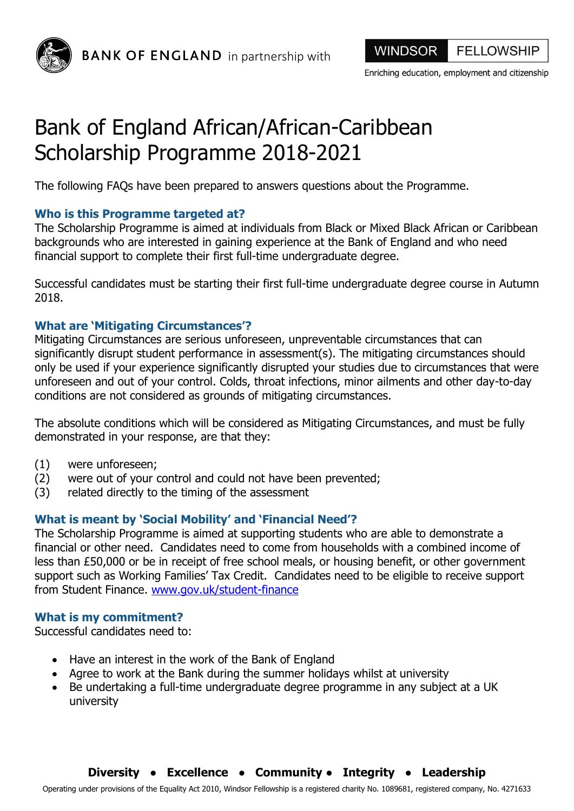

**BANK OF ENGLAND** in partnership with

Enriching education, employment and citizenship

# Bank of England African/African-Caribbean Scholarship Programme 2018-2021

The following FAQs have been prepared to answers questions about the Programme.

## **Who is this Programme targeted at?**

The Scholarship Programme is aimed at individuals from Black or Mixed Black African or Caribbean backgrounds who are interested in gaining experience at the Bank of England and who need financial support to complete their first full-time undergraduate degree.

Successful candidates must be starting their first full-time undergraduate degree course in Autumn 2018.

## **What are 'Mitigating Circumstances'?**

Mitigating Circumstances are serious unforeseen, unpreventable circumstances that can significantly disrupt student performance in assessment(s). The mitigating circumstances should only be used if your experience significantly disrupted your studies due to circumstances that were unforeseen and out of your control. Colds, throat infections, minor ailments and other day-to-day conditions are not considered as grounds of mitigating circumstances.

The absolute conditions which will be considered as Mitigating Circumstances, and must be fully demonstrated in your response, are that they:

- (1) were unforeseen;
- (2) were out of your control and could not have been prevented;
- (3) related directly to the timing of the assessment

## **What is meant by 'Social Mobility' and 'Financial Need'?**

The Scholarship Programme is aimed at supporting students who are able to demonstrate a financial or other need. Candidates need to come from households with a combined income of less than £50,000 or be in receipt of free school meals, or housing benefit, or other government support such as Working Families' Tax Credit. Candidates need to be eligible to receive support from Student Finance. [www.gov.uk/student-finance](file:///C:/Users/admn4214/AppData/Local/Microsoft/Windows/Temporary%20Internet%20Files/Content.Outlook/H2SGDN59/www.gov.uk/student-finance)

## **What is my commitment?**

Successful candidates need to:

- Have an interest in the work of the Bank of England
- Agree to work at the Bank during the summer holidays whilst at university
- Be undertaking a full-time undergraduate degree programme in any subject at a UK university